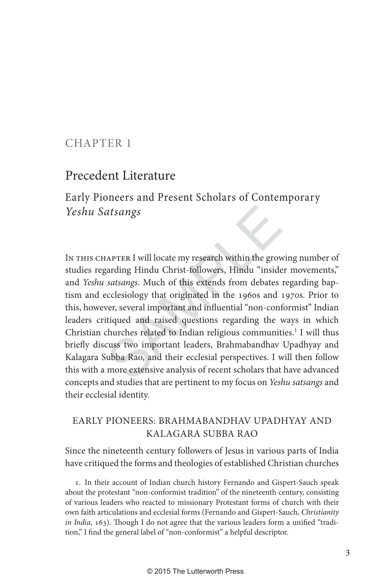# CHAPTER 1

# Precedent Literature

Early Pioneers and Present Scholars of Contemporary Yeshu Satsangs

atsangs<br>APTER I will locate my research within the grow<br>arding Hindu Christ-followers, Hindu "inside<br>satsangs. Much of this extends from debates is<br>cclesiology that originated in the 1960s and 1<br>ver, several important and IN THIS CHAPTER I will locate my research within the growing number of studies regarding Hindu Christ-followers, Hindu "insider movements," and Yeshu satsangs. Much of this extends from debates regarding baptism and ecclesiology that originated in the 1960s and 1970s. Prior to this, however, several important and influential "non-conformist" Indian leaders critiqued and raised questions regarding the ways in which Christian churches related to Indian religious communities.<sup>1</sup> I will thus briefly discuss two important leaders, Brahmabandhav Upadhyay and Kalagara Subba Rao, and their ecclesial perspectives. I will then follow this with a more extensive analysis of recent scholars that have advanced concepts and studies that are pertinent to my focus on Yeshu satsangs and their ecclesial identity.

# EARLY PIONEERS: BRAHMABANDHAV UPADHYAY AND KALAGARA SUBBA RAO

Since the nineteenth century followers of Jesus in various parts of India have critiqued the forms and theologies of established Christian churches

1. In their account of Indian church history Fernando and Gispert-Sauch speak about the protestant "non-conformist tradition" of the nineteenth century, consisting of various leaders who reacted to missionary Protestant forms of church with their own faith articulations and ecclesial forms (Fernando and Gispert-Sauch, Christianity in India, 163). Though I do not agree that the various leaders form a unified "tradition," I find the general label of "non-conformist" a helpful descriptor.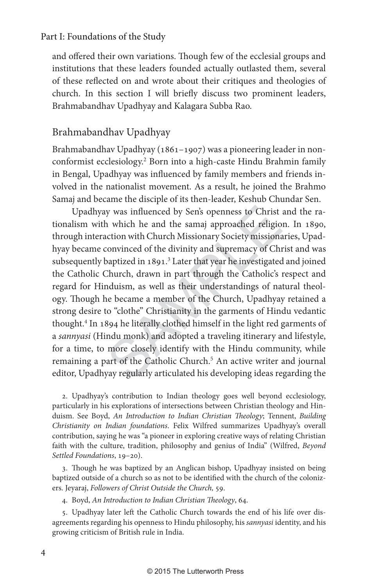### Part I: Foundations of the Study

and offered their own variations. Though few of the ecclesial groups and institutions that these leaders founded actually outlasted them, several of these reflected on and wrote about their critiques and theologies of church. In this section I will briefly discuss two prominent leaders, Brahmabandhav Upadhyay and Kalagara Subba Rao.

### Brahmabandhav Upadhyay

Brahmabandhav Upadhyay (1861–1907) was a pioneering leader in nonconformist ecclesiology.<sup>2</sup> Born into a high-caste Hindu Brahmin family in Bengal, Upadhyay was influenced by family members and friends involved in the nationalist movement. As a result, he joined the Brahmo Samaj and became the disciple of its then-leader, Keshub Chundar Sen.

y was influenced by Sen's openness to Christ<br>1 which he and the samaj approached religio<br>1 which he and the samaj approached religio<br>1 convinced of the divinity and supremacy of Chr<br>2 convinced of the divinity and supremac Upadhyay was influenced by Sen's openness to Christ and the rationalism with which he and the samaj approached religion. In 1890, through interaction with Church Missionary Society missionaries, Upadhyay became convinced of the divinity and supremacy of Christ and was subsequently baptized in 1891.<sup>3</sup> Later that year he investigated and joined the Catholic Church, drawn in part through the Catholic's respect and regard for Hinduism, as well as their understandings of natural theology. Though he became a member of the Church, Upadhyay retained a strong desire to "clothe" Christianity in the garments of Hindu vedantic thought. 4 In 1894 he literally clothed himself in the light red garments of a sannyasi (Hindu monk) and adopted a traveling itinerary and lifestyle, for a time, to more closely identify with the Hindu community, while remaining a part of the Catholic Church. 5 An active writer and journal editor, Upadhyay regularly articulated his developing ideas regarding the

2. Upadhyay's contribution to Indian theology goes well beyond ecclesiology, particularly in his explorations of intersections between Christian theology and Hinduism. See Boyd, An Introduction to Indian Christian Theology; Tennent, Building Christianity on Indian foundations. Felix Wilfred summarizes Upadhyay's overall contribution, saying he was "a pioneer in exploring creative ways of relating Christian faith with the culture, tradition, philosophy and genius of India" (Wilfred, Beyond Settled Foundations, 19–20).

3. Though he was baptized by an Anglican bishop, Upadhyay insisted on being baptized outside of a church so as not to be identified with the church of the colonizers. Jeyaraj, Followers of Christ Outside the Church, 59.

4. Boyd, An Introduction to Indian Christian Theology, 64.

5. Upadhyay later left the Catholic Church towards the end of his life over disagreements regarding his openness to Hindu philosophy, his sannyasi identity, and his growing criticism of British rule in India.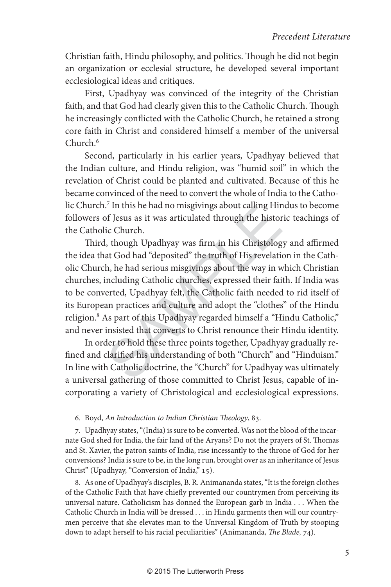Christian faith, Hindu philosophy, and politics. Though he did not begin an organization or ecclesial structure, he developed several important ecclesiological ideas and critiques.

First, Upadhyay was convinced of the integrity of the Christian faith, and that God had clearly given this to the Catholic Church. Though he increasingly conflicted with the Catholic Church, he retained a strong core faith in Christ and considered himself a member of the universal Church. 6

Second, particularly in his earlier years, Upadhyay believed that the Indian culture, and Hindu religion, was "humid soil" in which the revelation of Christ could be planted and cultivated. Because of this he became convinced of the need to convert the whole of India to the Catholic Church.7 In this he had no misgivings about calling Hindus to become followers of Jesus as it was articulated through the historic teachings of the Catholic Church.

The main of Jesus as it was articulated through the histor<br>ic Church.<br>though Upadhyay was firm in his Christolog<br>at God had "deposited" the truth of His revelation<br>h, he had serious misgivings about the way in w<br>ncluding C Third, though Upadhyay was firm in his Christology and affirmed the idea that God had "deposited" the truth of His revelation in the Catholic Church, he had serious misgivings about the way in which Christian churches, including Catholic churches, expressed their faith. If India was to be converted, Upadhyay felt, the Catholic faith needed to rid itself of its European practices and culture and adopt the "clothes" of the Hindu religion. 8 As part of this Upadhyay regarded himself a "Hindu Catholic," and never insisted that converts to Christ renounce their Hindu identity.

In order to hold these three points together, Upadhyay gradually refined and clarified his understanding of both "Church" and "Hinduism." In line with Catholic doctrine, the "Church" for Upadhyay was ultimately a universal gathering of those committed to Christ Jesus, capable of incorporating a variety of Christological and ecclesiological expressions.

#### 6. Boyd, An Introduction to Indian Christian Theology, 83.

7. Upadhyay states, "(India) is sure to be converted. Was not the blood of the incarnate God shed for India, the fair land of the Aryans? Do not the prayers of St. Thomas and St. Xavier, the patron saints of India, rise incessantly to the throne of God for her conversions? India is sure to be, in the long run, brought over as an inheritance of Jesus Christ" (Upadhyay, "Conversion of India," 15).

8. As one of Upadhyay's disciples, B. R. Animananda states, "It is the foreign clothes of the Catholic Faith that have chiefly prevented our countrymen from perceiving its universal nature. Catholicism has donned the European garb in India . . . When the Catholic Church in India will be dressed . . . in Hindu garments then will our countrymen perceive that she elevates man to the Universal Kingdom of Truth by stooping down to adapt herself to his racial peculiarities" (Animananda, The Blade, 74).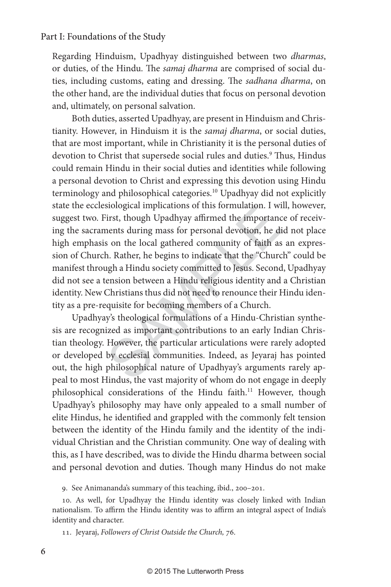Regarding Hinduism, Upadhyay distinguished between two dharmas, or duties, of the Hindu. The samaj dharma are comprised of social duties, including customs, eating and dressing. The sadhana dharma, on the other hand, are the individual duties that focus on personal devotion and, ultimately, on personal salvation.

siological implications of this formulation. I wi<br>
irst, though Upadhyay affirmed the importanc<br>
nents during mass for personal devotion, he di<br>
s on the local gathered community of faith as<br>
n. Rather, he begins to indica Both duties, asserted Upadhyay, are present in Hinduism and Christianity. However, in Hinduism it is the samaj dharma, or social duties, that are most important, while in Christianity it is the personal duties of devotion to Christ that supersede social rules and duties. 9 Thus, Hindus could remain Hindu in their social duties and identities while following a personal devotion to Christ and expressing this devotion using Hindu terminology and philosophical categories.10 Upadhyay did not explicitly state the ecclesiological implications of this formulation. I will, however, suggest two. First, though Upadhyay affirmed the importance of receiving the sacraments during mass for personal devotion, he did not place high emphasis on the local gathered community of faith as an expression of Church. Rather, he begins to indicate that the "Church" could be manifest through a Hindu society committed to Jesus. Second, Upadhyay did not see a tension between a Hindu religious identity and a Christian identity. New Christians thus did not need to renounce their Hindu identity as a pre-requisite for becoming members of a Church.

Upadhyay's theological formulations of a Hindu-Christian synthesis are recognized as important contributions to an early Indian Christian theology. However, the particular articulations were rarely adopted or developed by ecclesial communities. Indeed, as Jeyaraj has pointed out, the high philosophical nature of Upadhyay's arguments rarely appeal to most Hindus, the vast majority of whom do not engage in deeply philosophical considerations of the Hindu faith.<sup>11</sup> However, though Upadhyay's philosophy may have only appealed to a small number of elite Hindus, he identified and grappled with the commonly felt tension between the identity of the Hindu family and the identity of the individual Christian and the Christian community. One way of dealing with this, as I have described, was to divide the Hindu dharma between social and personal devotion and duties. Though many Hindus do not make

9. See Animananda's summary of this teaching, ibid., 200–201.

10. As well, for Upadhyay the Hindu identity was closely linked with Indian nationalism. To affirm the Hindu identity was to affirm an integral aspect of India's identity and character.

11. Jeyaraj, Followers of Christ Outside the Church, 76.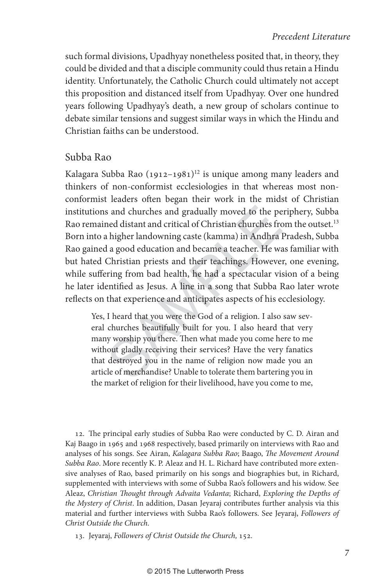such formal divisions, Upadhyay nonetheless posited that, in theory, they could be divided and that a disciple community could thus retain a Hindu identity. Unfortunately, the Catholic Church could ultimately not accept this proposition and distanced itself from Upadhyay. Over one hundred years following Upadhyay's death, a new group of scholars continue to debate similar tensions and suggest similar ways in which the Hindu and Christian faiths can be understood.

# Subba Rao

s and churches and gradually moved to the pe<br>ned distant and critical of Christian churches fre<br>ned distant and critical of Christian churches fre<br>ned a good education and became a teacher. He was<br>Christian priests and the Kalagara Subba Rao  $(1912-1981)^{12}$  is unique among many leaders and thinkers of non-conformist ecclesiologies in that whereas most nonconformist leaders often began their work in the midst of Christian institutions and churches and gradually moved to the periphery, Subba Rao remained distant and critical of Christian churches from the outset.<sup>13</sup> Born into a higher landowning caste (kamma) in Andhra Pradesh, Subba Rao gained a good education and became a teacher. He was familiar with but hated Christian priests and their teachings. However, one evening, while suffering from bad health, he had a spectacular vision of a being he later identified as Jesus. A line in a song that Subba Rao later wrote reflects on that experience and anticipates aspects of his ecclesiology.

Yes, I heard that you were the God of a religion. I also saw several churches beautifully built for you. I also heard that very many worship you there. Then what made you come here to me without gladly receiving their services? Have the very fanatics that destroyed you in the name of religion now made you an article of merchandise? Unable to tolerate them bartering you in the market of religion for their livelihood, have you come to me,

12. The principal early studies of Subba Rao were conducted by C. D. Airan and Kaj Baago in 1965 and 1968 respectively, based primarily on interviews with Rao and analyses of his songs. See Airan, Kalagara Subba Rao; Baago, The Movement Around Subba Rao. More recently K. P. Aleaz and H. L. Richard have contributed more extensive analyses of Rao, based primarily on his songs and biographies but, in Richard, supplemented with interviews with some of Subba Rao's followers and his widow. See Aleaz, Christian Thought through Advaita Vedanta; Richard, Exploring the Depths of the Mystery of Christ. In addition, Dasan Jeyaraj contributes further analysis via this material and further interviews with Subba Rao's followers. See Jeyaraj, Followers of Christ Outside the Church .

13. Jeyaraj, Followers of Christ Outside the Church, 152.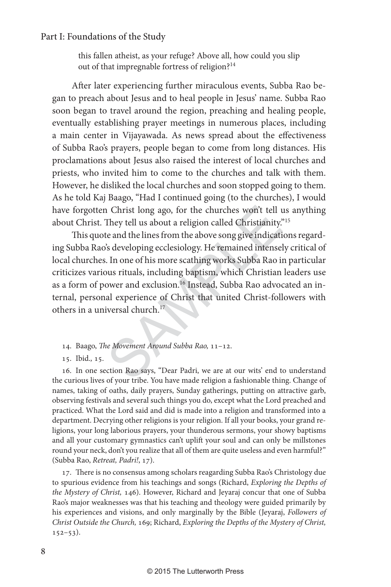#### Part I: Foundations of the Study

this fallen atheist, as your refuge? Above all, how could you slip out of that impregnable fortress of religion?<sup>14</sup>

After later experiencing further miraculous events, Subba Rao began to preach about Jesus and to heal people in Jesus' name. Subba Rao soon began to travel around the region, preaching and healing people, eventually establishing prayer meetings in numerous places, including a main center in Vijayawada. As news spread about the effectiveness of Subba Rao's prayers, people began to come from long distances. His proclamations about Jesus also raised the interest of local churches and priests, who invited him to come to the churches and talk with them. However, he disliked the local churches and soon stopped going to them. As he told Kaj Baago, "Had I continued going (to the churches), I would have forgotten Christ long ago, for the churches won't tell us anything about Christ. They tell us about a religion called Christianity."15

1 Christ long ago, for the churches won't tell 1<br>They tell us about a religion called Christianity.<sup>2</sup><br>te and the lines from the above song give indication<br>3's developing ecclesiology. He remained intensel<br>1. In one of his This quote and the lines from the above song give indications regarding Subba Rao's developing ecclesiology. He remained intensely critical of local churches. In one of his more scathing works Subba Rao in particular criticizes various rituals, including baptism, which Christian leaders use as a form of power and exclusion.<sup>16</sup> Instead, Subba Rao advocated an internal, personal experience of Christ that united Christ-followers with others in a universal church.17

- 14. Baago, The Movement Around Subba Rao, 11–12.
- 15. Ibid. , 15.

16. In one section Rao says, "Dear Padri, we are at our wits' end to understand the curious lives of your tribe. You have made religion a fashionable thing. Change of names, taking of oaths, daily prayers, Sunday gatherings, putting on attractive garb, observing festivals and several such things you do, except what the Lord preached and practiced. What the Lord said and did is made into a religion and transformed into a department. Decrying other religions is your religion. If all your books, your grand religions, your long laborious prayers, your thunderous sermons, your showy baptisms and all your customary gymnastics can't uplift your soul and can only be millstones round your neck, don't you realize that all of them are quite useless and even harmful?" (Subba Rao, Retreat, Padri!, 17).

17. There is no consensus among scholars reagarding Subba Rao's Christology due to spurious evidence from his teachings and songs (Richard, Exploring the Depths of the Mystery of Christ, 146). However, Richard and Jeyaraj concur that one of Subba Rao's major weaknesses was that his teaching and theology were guided primarily by his experiences and visions, and only marginally by the Bible (Jeyaraj, Followers of Christ Outside the Church, 169; Richard, Exploring the Depths of the Mystery of Christ,  $152 - 53$ ).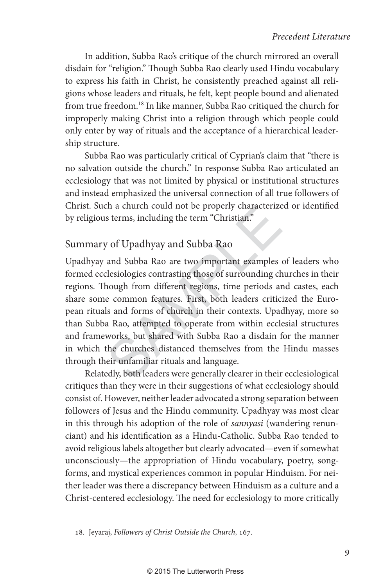In addition, Subba Rao's critique of the church mirrored an overall disdain for "religion." Though Subba Rao clearly used Hindu vocabulary to express his faith in Christ, he consistently preached against all religions whose leaders and rituals, he felt, kept people bound and alienated from true freedom.<sup>18</sup> In like manner, Subba Rao critiqued the church for improperly making Christ into a religion through which people could only enter by way of rituals and the acceptance of a hierarchical leadership structure.

Subba Rao was particularly critical of Cyprian's claim that "there is no salvation outside the church." In response Subba Rao articulated an ecclesiology that was not limited by physical or institutional structures and instead emphasized the universal connection of all true followers of Christ. Such a church could not be properly characterized or identified by religious terms, including the term "Christian."

# Summary of Upadhyay and Subba Rao

The a church could not be properly characterize<br>s terms, including the term "Christian."<br>7 of Upadhyay and Subba Rao<br>and Subba Rao are two important examples e<br>clesiologies contrasting those of surrounding ch<br>nough from di Upadhyay and Subba Rao are two important examples of leaders who formed ecclesiologies contrasting those of surrounding churches in their regions. Though from different regions, time periods and castes, each share some common features. First, both leaders criticized the European rituals and forms of church in their contexts. Upadhyay, more so than Subba Rao, attempted to operate from within ecclesial structures and frameworks, but shared with Subba Rao a disdain for the manner in which the churches distanced themselves from the Hindu masses through their unfamiliar rituals and language.

Relatedly, both leaders were generally clearer in their ecclesiological critiques than they were in their suggestions of what ecclesiology should consist of. However, neither leader advocated a strong separation between followers of Jesus and the Hindu community. Upadhyay was most clear in this through his adoption of the role of *sannyasi* (wandering renunciant) and his identification as a Hindu-Catholic. Subba Rao tended to avoid religious labels altogether but clearly advocated—even if somewhat unconsciously—the appropriation of Hindu vocabulary, poetry, songforms, and mystical experiences common in popular Hinduism. For neither leader was there a discrepancy between Hinduism as a culture and a Christ-centered ecclesiology. The need for ecclesiology to more critically

18. Jeyaraj, Followers of Christ Outside the Church, 167.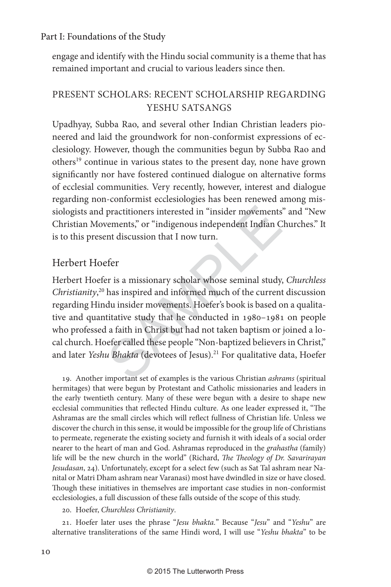Part I: Foundations of the Study

engage and identify with the Hindu social community is a theme that has remained important and crucial to various leaders since then.

# PRESENT SCHOLARS: RECENT SCHOLARSHIP REGARDING YESHU SATSANGS

Upadhyay, Subba Rao, and several other Indian Christian leaders pioneered and laid the groundwork for non-conformist expressions of ecclesiology. However, though the communities begun by Subba Rao and others<sup>19</sup> continue in various states to the present day, none have grown significantly nor have fostered continued dialogue on alternative forms of ecclesial communities. Very recently, however, interest and dialogue regarding non-conformist ecclesiologies has been renewed among missiologists and practitioners interested in "insider movements" and "New Christian Movements," or "indigenous independent Indian Churches." It is to this present discussion that I now turn.

### Herbert Hoefer

practitioners interested in "insider movements"<br>vements," or "indigenous independent Indian C<br>nt discussion that I now turn.<br><br>effer<br>effer<br>ar is a missionary scholar whose seminal study,<br>has inspired and informed much of th Herbert Hoefer is a missionary scholar whose seminal study, Churchless Christianity,<sup>20</sup> has inspired and informed much of the current discussion regarding Hindu insider movements. Hoefer's book is based on a qualitative and quantitative study that he conducted in 1980–1981 on people who professed a faith in Christ but had not taken baptism or joined a local church. Hoefer called these people "Non-baptized believers in Christ," and later Yeshu Bhakta (devotees of Jesus).<sup>21</sup> For qualitative data, Hoefer

19. Another important set of examples is the various Christian ashrams (spiritual hermitages) that were begun by Protestant and Catholic missionaries and leaders in the early twentieth century. Many of these were begun with a desire to shape new ecclesial communities that reflected Hindu culture. As one leader expressed it, "The Ashramas are the small circles which will reflect fullness of Christian life. Unless we discover the church in this sense, it would be impossible for the group life of Christians to permeate, regenerate the existing society and furnish it with ideals of a social order nearer to the heart of man and God. Ashramas reproduced in the grahastha (family) life will be the new church in the world" (Richard, The Theology of Dr. Savarirayan Jesudasan, 24). Unfortunately, except for a select few (such as Sat Tal ashram near Nanital or Matri Dham ashram near Varanasi) most have dwindled in size or have closed. Though these initiatives in themselves are important case studies in non-conformist ecclesiologies, a full discussion of these falls outside of the scope of this study.

20. Hoefer, Churchless Christianity .

21. Hoefer later uses the phrase "Jesu bhakta." Because "Jesu" and "Yeshu" are alternative transliterations of the same Hindi word, I will use "Yeshu bhakta" to be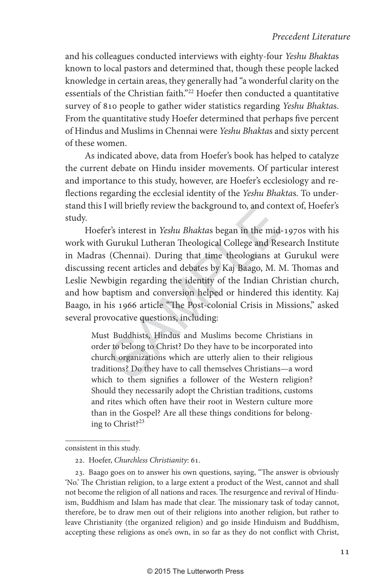and his colleagues conducted interviews with eighty-four Yeshu Bhaktas known to local pastors and determined that, though these people lacked knowledge in certain areas, they generally had "a wonderful clarity on the essentials of the Christian faith."22 Hoefer then conducted a quantitative survey of 810 people to gather wider statistics regarding Yeshu Bhaktas. From the quantitative study Hoefer determined that perhaps five percent of Hindus and Muslims in Chennai were Yeshu Bhaktas and sixty percent of these women.

As indicated above, data from Hoefer's book has helped to catalyze the current debate on Hindu insider movements. Of particular interest and importance to this study, however, are Hoefer's ecclesiology and reflections regarding the ecclesial identity of the Yeshu Bhaktas. To understand this I will briefly review the background to, and context of, Hoefer's study.

Will briefly review the background to, and cont<br>
re's interest in *Yeshu Bhaktas* began in the mid-<br>
Gurukul Lutheran Theological College and Res<br>
(Chennai). During that time theologians at<br>
recent articles and debates by Hoefer's interest in Yeshu Bhaktas began in the mid-1970s with his work with Gurukul Lutheran Theological College and Research Institute in Madras (Chennai). During that time theologians at Gurukul were discussing recent articles and debates by Kaj Baago, M. M. Thomas and Leslie Newbigin regarding the identity of the Indian Christian church, and how baptism and conversion helped or hindered this identity. Kaj Baago, in his 1966 article "The Post-colonial Crisis in Missions," asked several provocative questions, including:

Must Buddhists, Hindus and Muslims become Christians in order to belong to Christ? Do they have to be incorporated into church organizations which are utterly alien to their religious traditions? Do they have to call themselves Christians—a word which to them signifies a follower of the Western religion? Should they necessarily adopt the Christian traditions, customs and rites which often have their root in Western culture more than in the Gospel? Are all these things conditions for belonging to Christ?<sup>23</sup>

consistent in this study.

22. Hoefer, Churchless Christianity: 61.

23. Baago goes on to answer his own questions, saying, "The answer is obviously 'No.' The Christian religion, to a large extent a product of the West, cannot and shall not become the religion of all nations and races. The resurgence and revival of Hinduism, Buddhism and Islam has made that clear. The missionary task of today cannot, therefore, be to draw men out of their religions into another religion, but rather to leave Christianity (the organized religion) and go inside Hinduism and Buddhism, accepting these religions as one's own, in so far as they do not conflict with Christ,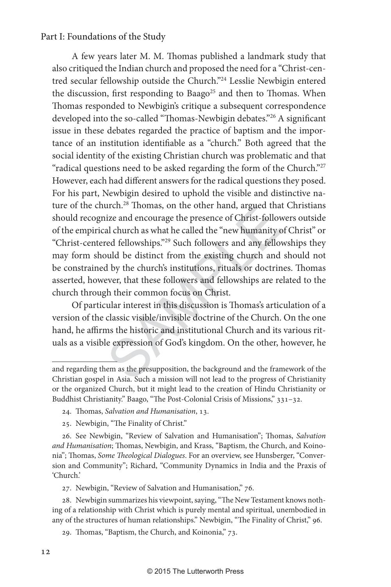### Part I: Foundations of the Study

irch.<sup>20</sup> Inomas, on the other hand, argued that<br>ize and encourage the presence of Christ-follow<br>al church as what he called the "new humanity o<br>red fellowships."<sup>29</sup> Such followers and any fellow<br>uuld be distinct from the A few years later M. M. Thomas published a landmark study that also critiqued the Indian church and proposed the need for a "Christ-centred secular fellowship outside the Church."24 Lesslie Newbigin entered the discussion, first responding to Baago<sup>25</sup> and then to Thomas. When Thomas responded to Newbigin's critique a subsequent correspondence developed into the so-called "Thomas-Newbigin debates."26 A significant issue in these debates regarded the practice of baptism and the importance of an institution identifiable as a "church." Both agreed that the social identity of the existing Christian church was problematic and that "radical questions need to be asked regarding the form of the Church."<sup>27</sup> However, each had different answers for the radical questions they posed. For his part, Newbigin desired to uphold the visible and distinctive nature of the church.<sup>28</sup> Thomas, on the other hand, argued that Christians should recognize and encourage the presence of Christ-followers outside of the empirical church as what he called the "new humanity of Christ" or "Christ-centered fellowships."29 Such followers and any fellowships they may form should be distinct from the existing church and should not be constrained by the church's institutions, rituals or doctrines. Thomas asserted, however, that these followers and fellowships are related to the church through their common focus on Christ.

Of particular interest in this discussion is Thomas's articulation of a version of the classic visible/invisible doctrine of the Church. On the one hand, he affirms the historic and institutional Church and its various rituals as a visible expression of God's kingdom. On the other, however, he

26. See Newbigin, "Review of Salvation and Humanisation"; Thomas, Salvation and Humanisation; Thomas, Newbigin, and Krass, "Baptism, the Church, and Koinonia"; Thomas, Some Theological Dialogues. For an overview, see Hunsberger, "Conversion and Community"; Richard, "Community Dynamics in India and the Praxis of 'Church.'

27. Newbigin, "Review of Salvation and Humanisation," 76.

28. Newbigin summarizes his viewpoint, saying, "The New Testament knows nothing of a relationship with Christ which is purely mental and spiritual, unembodied in any of the structures of human relationships." Newbigin, "The Finality of Christ," 96.

29. Thomas, "Baptism, the Church, and Koinonia," 73.

and regarding them as the presupposition, the background and the framework of the Christian gospel in Asia. Such a mission will not lead to the progress of Christianity or the organized Church, but it might lead to the creation of Hindu Christianity or Buddhist Christianity." Baago, "The Post-Colonial Crisis of Missions," 331-32.

<sup>24.</sup> Thomas, Salvation and Humanisation, 13.

<sup>25.</sup> Newbigin, "The Finality of Christ."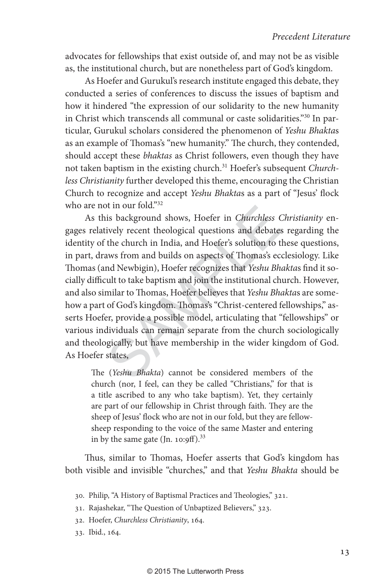advocates for fellowships that exist outside of, and may not be as visible as, the institutional church, but are nonetheless part of God's kingdom.

As Hoefer and Gurukul's research institute engaged this debate, they conducted a series of conferences to discuss the issues of baptism and how it hindered "the expression of our solidarity to the new humanity in Christ which transcends all communal or caste solidarities."30 In particular, Gurukul scholars considered the phenomenon of Yeshu Bhaktas as an example of Thomas's "new humanity." The church, they contended, should accept these bhaktas as Christ followers, even though they have not taken baptism in the existing church.<sup>31</sup> Hoefer's subsequent Churchless Christianity further developed this theme, encouraging the Christian Church to recognize and accept Yeshu Bhaktas as a part of "Jesus' flock who are not in our fold."<sup>32</sup>

It in our fold.<sup>32</sup><br>is background shows, Hoefer in *Churchless C*<br>ively recent theological questions and debates<br>the church in India, and Hoefer's solution to tl<br>aws from and builds on aspects of Thomas's ecc<br>nd Newbigin), As this background shows, Hoefer in Churchless Christianity engages relatively recent theological questions and debates regarding the identity of the church in India, and Hoefer's solution to these questions, in part, draws from and builds on aspects of Thomas's ecclesiology. Like Thomas (and Newbigin), Hoefer recognizes that Yeshu Bhaktas find it socially difficult to take baptism and join the institutional church. However, and also similar to Thomas, Hoefer believes that Yeshu Bhaktas are somehow a part of God's kingdom. Thomas's "Christ-centered fellowships," asserts Hoefer, provide a possible model, articulating that "fellowships" or various individuals can remain separate from the church sociologically and theologically, but have membership in the wider kingdom of God. As Hoefer states,

The (Yeshu Bhakta) cannot be considered members of the church (nor, I feel, can they be called "Christians," for that is a title ascribed to any who take baptism). Yet, they certainly are part of our fellowship in Christ through faith. They are the sheep of Jesus' flock who are not in our fold, but they are fellowsheep responding to the voice of the same Master and entering in by the same gate (Jn. 10:9ff). $33$ 

Thus, similar to Thomas, Hoefer asserts that God's kingdom has both visible and invisible "churches," and that Yeshu Bhakta should be

- 30. Philip, "A History of Baptismal Practices and Theologies," 321.
- 31. Rajashekar, "The Question of Unbaptized Believers," 323.
- 32. Hoefer, Churchless Christianity, 164.
- 33. Ibid., 164.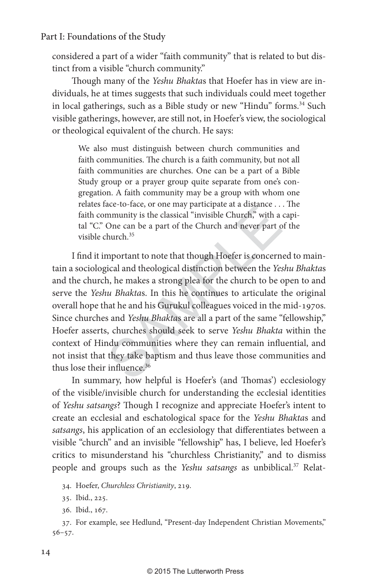considered a part of a wider "faith community" that is related to but distinct from a visible "church community."

Though many of the Yeshu Bhaktas that Hoefer has in view are individuals, he at times suggests that such individuals could meet together in local gatherings, such as a Bible study or new "Hindu" forms.<sup>34</sup> Such visible gatherings, however, are still not, in Hoefer's view, the sociological or theological equivalent of the church. He says:

We also must distinguish between church communities and faith communities. The church is a faith community, but not all faith communities are churches. One can be a part of a Bible Study group or a prayer group quite separate from one's congregation. A faith community may be a group with whom one relates face-to-face, or one may participate at a distance . . . The faith community is the classical "invisible Church," with a capital "C." One can be a part of the Church and never part of the visible church.<sup>35</sup>

ace-to-face, of one may participate at a distance ...<br>mmunity is the classical "invisible Church," with a One can be a part of the Church and never part o<br>hurch.<sup>35</sup><br>mportant to note that though Hoefer is concernic<br>ical an I find it important to note that though Hoefer is concerned to maintain a sociological and theological distinction between the Yeshu Bhaktas and the church, he makes a strong plea for the church to be open to and serve the Yeshu Bhaktas. In this he continues to articulate the original overall hope that he and his Gurukul colleagues voiced in the mid-1970s. Since churches and Yeshu Bhaktas are all a part of the same "fellowship," Hoefer asserts, churches should seek to serve Yeshu Bhakta within the context of Hindu communities where they can remain influential, and not insist that they take baptism and thus leave those communities and thus lose their influence.36

In summary, how helpful is Hoefer's (and Thomas') ecclesiology of the visible/invisible church for understanding the ecclesial identities of Yeshu satsangs? Though I recognize and appreciate Hoefer's intent to create an ecclesial and eschatological space for the Yeshu Bhaktas and satsangs, his application of an ecclesiology that differentiates between a visible "church" and an invisible "fellowship" has, I believe, led Hoefer's critics to misunderstand his "churchless Christianity," and to dismiss people and groups such as the Yeshu satsangs as unbiblical.<sup>37</sup> Relat-

34. Hoefer, Churchless Christianity, 219.

35. Ibid., 225.

36. Ibid., 167.

37. For example, see Hedlund, "Present-day Independent Christian Movements," 56–57.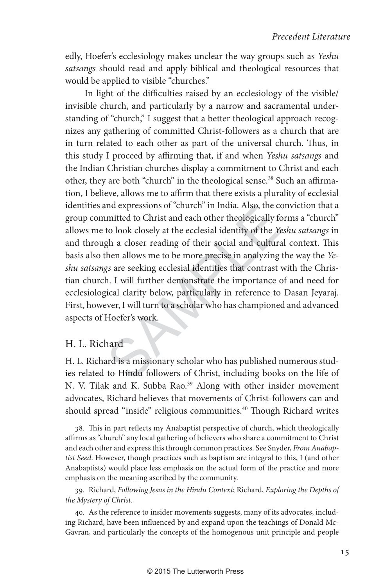edly, Hoefer's ecclesiology makes unclear the way groups such as Yeshu satsangs should read and apply biblical and theological resources that would be applied to visible "churches."

nd expressions of church in India. Also, the comitted to Christ and each other theologically for to look closely at the ecclesial identity of the *Ye* gh a closer reading of their social and cultura hen allows me to be mor In light of the difficulties raised by an ecclesiology of the visible/ invisible church, and particularly by a narrow and sacramental understanding of "church," I suggest that a better theological approach recognizes any gathering of committed Christ-followers as a church that are in turn related to each other as part of the universal church. Thus, in this study I proceed by affirming that, if and when Yeshu satsangs and the Indian Christian churches display a commitment to Christ and each other, they are both "church" in the theological sense.<sup>38</sup> Such an affirmation, I believe, allows me to affirm that there exists a plurality of ecclesial identities and expressions of "church" in India. Also, the conviction that a group committed to Christ and each other theologically forms a "church" allows me to look closely at the ecclesial identity of the Yeshu satsangs in and through a closer reading of their social and cultural context. This basis also then allows me to be more precise in analyzing the way the Yeshu satsangs are seeking ecclesial identities that contrast with the Christian church. I will further demonstrate the importance of and need for ecclesiological clarity below, particularly in reference to Dasan Jeyaraj. First, however, I will turn to a scholar who has championed and advanced aspects of Hoefer's work.

# H. L. Richard

H. L. Richard is a missionary scholar who has published numerous studies related to Hindu followers of Christ, including books on the life of N. V. Tilak and K. Subba Rao.<sup>39</sup> Along with other insider movement advocates, Richard believes that movements of Christ-followers can and should spread "inside" religious communities.<sup>40</sup> Though Richard writes

38. This in part reflects my Anabaptist perspective of church, which theologically affirms as "church" any local gathering of believers who share a commitment to Christ and each other and express this through common practices. See Snyder, From Anabaptist Seed. However, though practices such as baptism are integral to this, I (and other Anabaptists) would place less emphasis on the actual form of the practice and more emphasis on the meaning ascribed by the community.

39. Richard, Following Jesus in the Hindu Context; Richard, Exploring the Depths of the Mystery of Christ .

40. As the reference to insider movements suggests, many of its advocates, including Richard, have been influenced by and expand upon the teachings of Donald Mc-Gavran, and particularly the concepts of the homogenous unit principle and people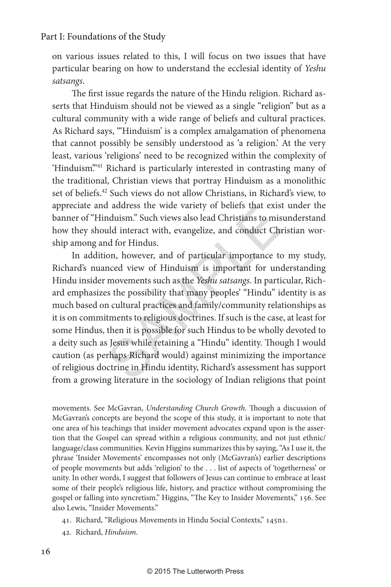on various issues related to this, I will focus on two issues that have particular bearing on how to understand the ecclesial identity of Yeshu satsangs .

The first issue regards the nature of the Hindu religion. Richard asserts that Hinduism should not be viewed as a single "religion" but as a cultural community with a wide range of beliefs and cultural practices. As Richard says, "'Hinduism' is a complex amalgamation of phenomena that cannot possibly be sensibly understood as 'a religion.' At the very least, various 'religions' need to be recognized within the complexity of 'Hinduism."<sup>41</sup> Richard is particularly interested in contrasting many of the traditional, Christian views that portray Hinduism as a monolithic set of beliefs.<sup>42</sup> Such views do not allow Christians, in Richard's view, to appreciate and address the wide variety of beliefs that exist under the banner of "Hinduism." Such views also lead Christians to misunderstand how they should interact with, evangelize, and conduct Christian worship among and for Hindus.

1 address the wide variety of beliefs that exist<br>aduism." Such views also lead Christians to mis<br>uld interact with, evangelize, and conduct Chr<br>af for Hindus.<br>on, however, and of particular importance to<br>nced view of Hindu In addition, however, and of particular importance to my study, Richard's nuanced view of Hinduism is important for understanding Hindu insider movements such as the Yeshu satsangs. In particular, Richard emphasizes the possibility that many peoples' "Hindu" identity is as much based on cultural practices and family/community relationships as it is on commitments to religious doctrines. If such is the case, at least for some Hindus, then it is possible for such Hindus to be wholly devoted to a deity such as Jesus while retaining a "Hindu" identity. Though I would caution (as perhaps Richard would) against minimizing the importance of religious doctrine in Hindu identity, Richard's assessment has support from a growing literature in the sociology of Indian religions that point

movements. See McGavran, Understanding Church Growth. Though a discussion of McGavran's concepts are beyond the scope of this study, it is important to note that one area of his teachings that insider movement advocates expand upon is the assertion that the Gospel can spread within a religious community, and not just ethnic/ language/class communities. Kevin Higgins summarizes this by saying, "As I use it, the phrase 'Insider Movements' encompasses not only (McGavran's) earlier descriptions of people movements but adds 'religion' to the . . . list of aspects of 'togetherness' or unity. In other words, I suggest that followers of Jesus can continue to embrace at least some of their people's religious life, history, and practice without compromising the gospel or falling into syncretism." Higgins, "The Key to Insider Movements," 156. See also Lewis, "Insider Movements."

- 41. Richard, "Religious Movements in Hindu Social Contexts," 145n1.
- 42. Richard, Hinduism .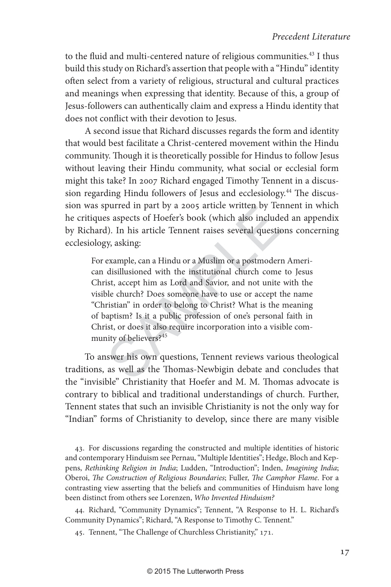to the fluid and multi-centered nature of religious communities.<sup>43</sup> I thus build this study on Richard's assertion that people with a "Hindu" identity often select from a variety of religious, structural and cultural practices and meanings when expressing that identity. Because of this, a group of Jesus-followers can authentically claim and express a Hindu identity that does not conflict with their devotion to Jesus.

A second issue that Richard discusses regards the form and identity that would best facilitate a Christ-centered movement within the Hindu community. Though it is theoretically possible for Hindus to follow Jesus without leaving their Hindu community, what social or ecclesial form might this take? In 2007 Richard engaged Timothy Tennent in a discussion regarding Hindu followers of Jesus and ecclesiology.<sup>44</sup> The discussion was spurred in part by a 2005 article written by Tennent in which he critiques aspects of Hoefer's book (which also included an appendix by Richard). In his article Tennent raises several questions concerning ecclesiology, asking:

purred in part by a 2005 article written by 1er<br>s aspects of Hoefer's book (which also include<br>l). In his article Tennent raises several questic<br>y, asking:<br>example, can a Hindu or a Muslim or a postmoderr<br>disillusioned wit For example, can a Hindu or a Muslim or a postmodern American disillusioned with the institutional church come to Jesus Christ, accept him as Lord and Savior, and not unite with the visible church? Does someone have to use or accept the name "Christian" in order to belong to Christ? What is the meaning of baptism? Is it a public profession of one's personal faith in Christ, or does it also require incorporation into a visible community of believers?<sup>45</sup>

To answer his own questions, Tennent reviews various theological traditions, as well as the Thomas-Newbigin debate and concludes that the "invisible" Christianity that Hoefer and M. M. Thomas advocate is contrary to biblical and traditional understandings of church. Further, Tennent states that such an invisible Christianity is not the only way for "Indian" forms of Christianity to develop, since there are many visible

43. For discussions regarding the constructed and multiple identities of historic and contemporary Hinduism see Pernau, "Multiple Identities"; Hedge, Bloch and Keppens, Rethinking Religion in India; Ludden, "Introduction"; Inden, Imagining India; Oberoi, The Construction of Religious Boundaries; Fuller, The Camphor Flame. For a contrasting view asserting that the beliefs and communities of Hinduism have long been distinct from others see Lorenzen, Who Invented Hinduism?

44. Richard, "Community Dynamics"; Tennent, "A Response to H. L. Richard's Community Dynamics"; Richard, "A Response to Timothy C. Tennent."

45. Tennent, "The Challenge of Churchless Christianity," 171.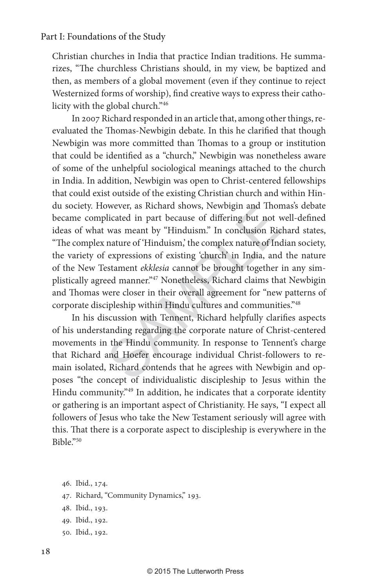Christian churches in India that practice Indian traditions. He summarizes, "The churchless Christians should, in my view, be baptized and then, as members of a global movement (even if they continue to reject Westernized forms of worship), find creative ways to express their catholicity with the global church."46

wever, as Kichard shows, Newbigin and Thon<br>licated in part because of differing but not w<br>was meant by "Hinduism." In conclusion Richard<br>mature of Hinduism, the complex nature of Ind<br>expressions of existing 'church' in Ind In 2007 Richard responded in an article that, among other things, reevaluated the Thomas-Newbigin debate. In this he clarified that though Newbigin was more committed than Thomas to a group or institution that could be identified as a "church," Newbigin was nonetheless aware of some of the unhelpful sociological meanings attached to the church in India. In addition, Newbigin was open to Christ-centered fellowships that could exist outside of the existing Christian church and within Hindu society. However, as Richard shows, Newbigin and Thomas's debate became complicated in part because of differing but not well-defined ideas of what was meant by "Hinduism." In conclusion Richard states, "The complex nature of 'Hinduism,' the complex nature of Indian society, the variety of expressions of existing 'church' in India, and the nature of the New Testament ekklesia cannot be brought together in any simplistically agreed manner."47 Nonetheless, Richard claims that Newbigin and Thomas were closer in their overall agreement for "new patterns of corporate discipleship within Hindu cultures and communities."48

In his discussion with Tennent, Richard helpfully clarifies aspects of his understanding regarding the corporate nature of Christ-centered movements in the Hindu community. In response to Tennent's charge that Richard and Hoefer encourage individual Christ-followers to remain isolated, Richard contends that he agrees with Newbigin and opposes "the concept of individualistic discipleship to Jesus within the Hindu community."49 In addition, he indicates that a corporate identity or gathering is an important aspect of Christianity. He says, "I expect all followers of Jesus who take the New Testament seriously will agree with this. That there is a corporate aspect to discipleship is everywhere in the  $Bihle$ "50

46. Ibid., 174. 47. Richard, "Community Dynamics," 193.

- 48. Ibid., 193.
- 49. Ibid., 192.
- 50. Ibid., 192.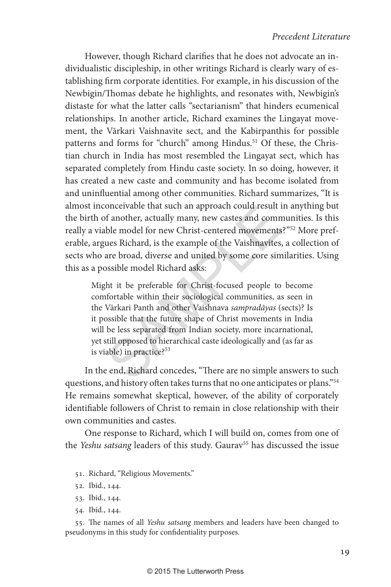However, though Richard clarifies that he does not advocate an individualistic discipleship, in other writings Richard is clearly wary of establishing firm corporate identities. For example, in his discussion of the Newbigin/Thomas debate he highlights, and resonates with, Newbigin's distaste for what the latter calls "sectarianism" that hinders ecumenical relationships. In another article, Richard examines the Lingayat movement, the Vārkari Vaishnavite sect, and the Kabirpanthis for possible patterns and forms for "church" among Hindus.<sup>51</sup> Of these, the Christian church in India has most resembled the Lingayat sect, which has separated completely from Hindu caste society. In so doing, however, it has created a new caste and community and has become isolated from and uninfluential among other communities. Richard summarizes, "It is almost inconceivable that such an approach could result in anything but the birth of another, actually many, new castes and communities. Is this really a viable model for new Christ-centered movements?"52 More preferable, argues Richard, is the example of the Vaishnavites, a collection of sects who are broad, diverse and united by some core similarities. Using this as a possible model Richard asks:

onceivable that such an approach could result if another, actually many, new castes and comm<br>ble model for new Christ-centered movements<br>ues Richard, is the example of the Vaishnavites,<br>are broad, diverse and united by som Might it be preferable for Christ-focused people to become comfortable within their sociological communities, as seen in the Vārkari Panth and other Vaishnava sampradāyas (sects)? Is it possible that the future shape of Christ movements in India will be less separated from Indian society, more incarnational, yet still opposed to hierarchical caste ideologically and (as far as is viable) in practice?<sup>53</sup>

In the end, Richard concedes, "There are no simple answers to such questions, and history often takes turns that no one anticipates or plans."54 He remains somewhat skeptical, however, of the ability of corporately identifiable followers of Christ to remain in close relationship with their own communities and castes.

One response to Richard, which I will build on, comes from one of the Yeshu satsang leaders of this study. Gaurav<sup>55</sup> has discussed the issue

- 51. Richard, "Religious Movements."
- 52. Ibid., 144.
- 53. Ibid., 144.
- 54. Ibid., 144.

55. The names of all Yeshu satsang members and leaders have been changed to pseudonyms in this study for confidentiality purposes.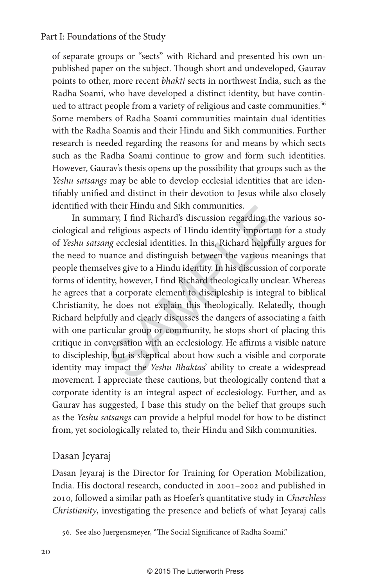of separate groups or "sects" with Richard and presented his own unpublished paper on the subject. Though short and undeveloped, Gaurav points to other, more recent bhakti sects in northwest India, such as the Radha Soami, who have developed a distinct identity, but have continued to attract people from a variety of religious and caste communities.<sup>56</sup> Some members of Radha Soami communities maintain dual identities with the Radha Soamis and their Hindu and Sikh communities. Further research is needed regarding the reasons for and means by which sects such as the Radha Soami continue to grow and form such identities. However, Gaurav's thesis opens up the possibility that groups such as the Yeshu satsangs may be able to develop ecclesial identities that are identifiably unified and distinct in their devotion to Jesus while also closely identified with their Hindu and Sikh communities.

Their Hindu and Sikh communities.<br>
hary, I find Richard's discussion regarding the<br>
religious aspects of Hindu identity important<br> *ng* ecclesial identities. In this, Richard helpfully<br>
luance and distinguish between the v In summary, I find Richard's discussion regarding the various sociological and religious aspects of Hindu identity important for a study of Yeshu satsang ecclesial identities. In this, Richard helpfully argues for the need to nuance and distinguish between the various meanings that people themselves give to a Hindu identity. In his discussion of corporate forms of identity, however, I find Richard theologically unclear. Whereas he agrees that a corporate element to discipleship is integral to biblical Christianity, he does not explain this theologically. Relatedly, though Richard helpfully and clearly discusses the dangers of associating a faith with one particular group or community, he stops short of placing this critique in conversation with an ecclesiology. He affirms a visible nature to discipleship, but is skeptical about how such a visible and corporate identity may impact the Yeshu Bhaktas' ability to create a widespread movement. I appreciate these cautions, but theologically contend that a corporate identity is an integral aspect of ecclesiology. Further, and as Gaurav has suggested, I base this study on the belief that groups such as the Yeshu satsangs can provide a helpful model for how to be distinct from, yet sociologically related to, their Hindu and Sikh communities.

# Dasan Jeyaraj

Dasan Jeyaraj is the Director for Training for Operation Mobilization, India. His doctoral research, conducted in 2001–2002 and published in 2010, followed a similar path as Hoefer's quantitative study in Churchless Christianity, investigating the presence and beliefs of what Jeyaraj calls

<sup>56.</sup> See also Juergensmeyer, "The Social Significance of Radha Soami."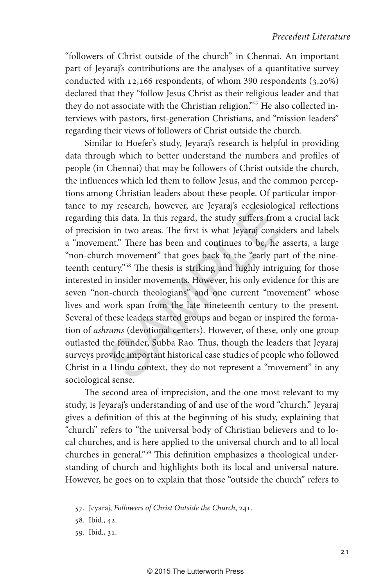"followers of Christ outside of the church" in Chennai. An important part of Jeyaraj's contributions are the analyses of a quantitative survey conducted with 12,166 respondents, of whom 390 respondents (3.20%) declared that they "follow Jesus Christ as their religious leader and that they do not associate with the Christian religion."57 He also collected interviews with pastors, first-generation Christians, and "mission leaders" regarding their views of followers of Christ outside the church.

ny research, however, are Jeyarajs ecclesiology<br>this data. In this regard, the study suffers from<br>n in two areas. The first is what Jeyaraj consicent." There has been and continues to be, he<br>ch movement" that goes back to Similar to Hoefer's study, Jeyaraj's research is helpful in providing data through which to better understand the numbers and profiles of people (in Chennai) that may be followers of Christ outside the church, the influences which led them to follow Jesus, and the common perceptions among Christian leaders about these people. Of particular importance to my research, however, are Jeyaraj's ecclesiological reflections regarding this data. In this regard, the study suffers from a crucial lack of precision in two areas. The first is what Jeyaraj considers and labels a "movement." There has been and continues to be, he asserts, a large "non-church movement" that goes back to the "early part of the nineteenth century."58 The thesis is striking and highly intriguing for those interested in insider movements. However, his only evidence for this are seven "non-church theologians" and one current "movement" whose lives and work span from the late nineteenth century to the present. Several of these leaders started groups and began or inspired the formation of ashrams (devotional centers). However, of these, only one group outlasted the founder, Subba Rao. Thus, though the leaders that Jeyaraj surveys provide important historical case studies of people who followed Christ in a Hindu context, they do not represent a "movement" in any sociological sense.

The second area of imprecision, and the one most relevant to my study, is Jeyaraj's understanding of and use of the word "church." Jeyaraj gives a definition of this at the beginning of his study, explaining that "church" refers to "the universal body of Christian believers and to local churches, and is here applied to the universal church and to all local churches in general."59 This definition emphasizes a theological understanding of church and highlights both its local and universal nature. However, he goes on to explain that those "outside the church" refers to

<sup>57.</sup> Jeyaraj, Followers of Christ Outside the Church, 241.

<sup>58.</sup> Ibid., 42.

<sup>59.</sup> Ibid., 31.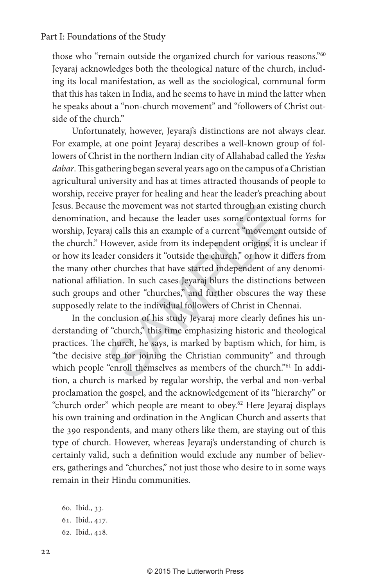those who "remain outside the organized church for various reasons."<sup>60</sup> Jeyaraj acknowledges both the theological nature of the church, including its local manifestation, as well as the sociological, communal form that this has taken in India, and he seems to have in mind the latter when he speaks about a "non-church movement" and "followers of Christ outside of the church."

the movement was not started through an exis<br>, and because the leader uses some contextua<br>aj calls this an example of a current "movemen<br>fowever, aside from its independent origins, it i<br>ler considers it "outside the churc Unfortunately, however, Jeyaraj's distinctions are not always clear. For example, at one point Jeyaraj describes a well-known group of followers of Christ in the northern Indian city of Allahabad called the Yeshu dabar. This gathering began several years ago on the campus of a Christian agricultural university and has at times attracted thousands of people to worship, receive prayer for healing and hear the leader's preaching about Jesus. Because the movement was not started through an existing church denomination, and because the leader uses some contextual forms for worship, Jeyaraj calls this an example of a current "movement outside of the church." However, aside from its independent origins, it is unclear if or how its leader considers it "outside the church," or how it differs from the many other churches that have started independent of any denominational affiliation. In such cases Jeyaraj blurs the distinctions between such groups and other "churches," and further obscures the way these supposedly relate to the individual followers of Christ in Chennai.

In the conclusion of his study Jeyaraj more clearly defines his understanding of "church," this time emphasizing historic and theological practices. The church, he says, is marked by baptism which, for him, is "the decisive step for joining the Christian community" and through which people "enroll themselves as members of the church."<sup>61</sup> In addition, a church is marked by regular worship, the verbal and non-verbal proclamation the gospel, and the acknowledgement of its "hierarchy" or "church order" which people are meant to obey.<sup>62</sup> Here Jeyaraj displays his own training and ordination in the Anglican Church and asserts that the 390 respondents, and many others like them, are staying out of this type of church. However, whereas Jeyaraj's understanding of church is certainly valid, such a definition would exclude any number of believers, gatherings and "churches," not just those who desire to in some ways remain in their Hindu communities.

60. Ibid., 33. 61. Ibid., 417. 62. Ibid., 418.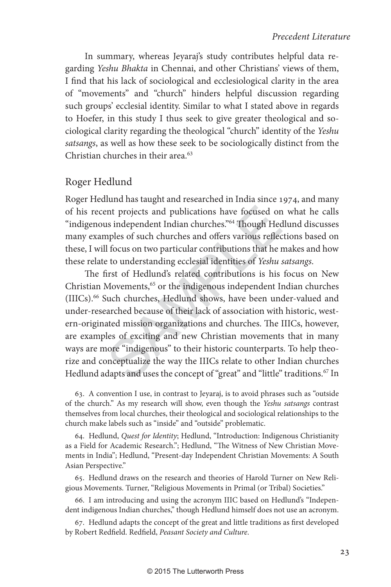In summary, whereas Jeyaraj's study contributes helpful data regarding Yeshu Bhakta in Chennai, and other Christians' views of them, I find that his lack of sociological and ecclesiological clarity in the area of "movements" and "church" hinders helpful discussion regarding such groups' ecclesial identity. Similar to what I stated above in regards to Hoefer, in this study I thus seek to give greater theological and sociological clarity regarding the theological "church" identity of the Yeshu satsangs, as well as how these seek to be sociologically distinct from the Christian churches in their area.<sup>63</sup>

# Roger Hedlund

Roger Hedlund has taught and researched in India since 1974, and many of his recent projects and publications have focused on what he calls "indigenous independent Indian churches."64 Though Hedlund discusses many examples of such churches and offers various reflections based on these, I will focus on two particular contributions that he makes and how these relate to understanding ecclesial identities of Yeshu satsangs .

nt projects and publications have focused on<br>as independent Indian churches."<sup>64</sup> Though Hed<br>aples of such churches and offers various reflec<br>I focus on two particular contributions that he r<br>to understanding ecclesial ide The first of Hedlund's related contributions is his focus on New Christian Movements,<sup>65</sup> or the indigenous independent Indian churches (IIICs).66 Such churches, Hedlund shows, have been under-valued and under-researched because of their lack of association with historic, western-originated mission organizations and churches. The IIICs, however, are examples of exciting and new Christian movements that in many ways are more "indigenous" to their historic counterparts. To help theorize and conceptualize the way the IIICs relate to other Indian churches Hedlund adapts and uses the concept of "great" and "little" traditions.<sup>67</sup> In

63. A convention I use, in contrast to Jeyaraj, is to avoid phrases such as "outside of the church." As my research will show, even though the Yeshu satsangs contrast themselves from local churches, their theological and sociological relationships to the church make labels such as "inside" and "outside" problematic.

64. Hedlund, Quest for Identity; Hedlund, "Introduction: Indigenous Christianity as a Field for Academic Research."; Hedlund, "The Witness of New Christian Movements in India"; Hedlund, "Present-day Independent Christian Movements: A South Asian Perspective."

65. Hedlund draws on the research and theories of Harold Turner on New Religious Movements. Turner, "Religious Movements in Primal (or Tribal) Societies."

66. I am introducing and using the acronym IIIC based on Hedlund's "Independent indigenous Indian churches," though Hedlund himself does not use an acronym.

67. Hedlund adapts the concept of the great and little traditions as first developed by Robert Redfield. Redfield, Peasant Society and Culture .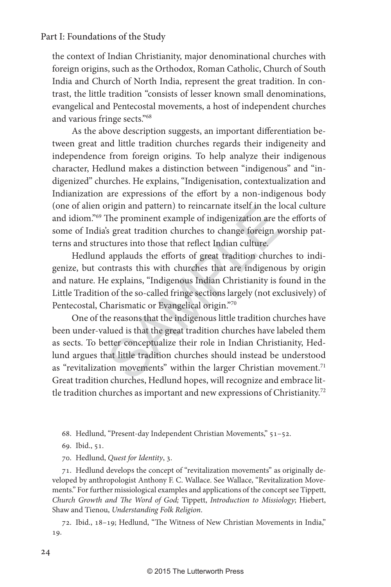the context of Indian Christianity, major denominational churches with foreign origins, such as the Orthodox, Roman Catholic, Church of South India and Church of North India, represent the great tradition. In contrast, the little tradition "consists of lesser known small denominations, evangelical and Pentecostal movements, a host of independent churches and various fringe sects."68

As the above description suggests, an important differentiation between great and little tradition churches regards their indigeneity and independence from foreign origins. To help analyze their indigenous character, Hedlund makes a distinction between "indigenous" and "indigenized" churches. He explains, "Indigenisation, contextualization and Indianization are expressions of the effort by a non-indigenous body (one of alien origin and pattern) to reincarnate itself in the local culture and idiom."69 The prominent example of indigenization are the efforts of some of India's great tradition churches to change foreign worship patterns and structures into those that reflect Indian culture.

Hedlund applauds the efforts of great tradition churches to indigenize, but contrasts this with churches that are indigenous by origin and nature. He explains, "Indigenous Indian Christianity is found in the Little Tradition of the so-called fringe sections largely (not exclusively) of Pentecostal, Charismatic or Evangelical origin."70

prigin and pattern) to reincarnate itself in the IG<br>The prominent example of indigenization are the Separat tradition churches to change foreign we<br>ctures into those that reflect Indian culture.<br>applauds the efforts of gre One of the reasons that the indigenous little tradition churches have been under-valued is that the great tradition churches have labeled them as sects. To better conceptualize their role in Indian Christianity, Hedlund argues that little tradition churches should instead be understood as "revitalization movements" within the larger Christian movement.<sup>71</sup> Great tradition churches, Hedlund hopes, will recognize and embrace little tradition churches as important and new expressions of Christianity.<sup>72</sup>

68. Hedlund, "Present-day Independent Christian Movements," 51–52.

69. Ibid., 51.

70. Hedlund, Quest for Identity, 3.

71. Hedlund develops the concept of "revitalization movements" as originally developed by anthropologist Anthony F. C. Wallace. See Wallace, "Revitalization Movements." For further missiological examples and applications of the concept see Tippett, Church Growth and The Word of God; Tippett, Introduction to Missiology; Hiebert, Shaw and Tienou, Understanding Folk Religion.

72. Ibid., 18–19; Hedlund, "The Witness of New Christian Movements in India," 19.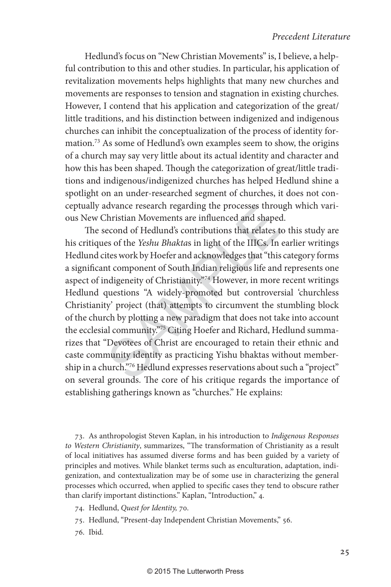Hedlund's focus on "New Christian Movements" is, I believe, a helpful contribution to this and other studies. In particular, his application of revitalization movements helps highlights that many new churches and movements are responses to tension and stagnation in existing churches. However, I contend that his application and categorization of the great/ little traditions, and his distinction between indigenized and indigenous churches can inhibit the conceptualization of the process of identity formation.73 As some of Hedlund's own examples seem to show, the origins of a church may say very little about its actual identity and character and how this has been shaped. Though the categorization of great/little traditions and indigenous/indigenized churches has helped Hedlund shine a spotlight on an under-researched segment of churches, it does not conceptually advance research regarding the processes through which various New Christian Movements are influenced and shaped.

divance research regarding the processes throu<br>thristian Movements are influenced and shaped<br>econd of Hedlund's contributions that relates to<br>s of the *Yeshu Bhaktas* in light of the IIICs. In t<br>ites work by Hoefer and ack The second of Hedlund's contributions that relates to this study are his critiques of the Yeshu Bhaktas in light of the IIICs. In earlier writings Hedlund cites work by Hoefer and acknowledges that "this category forms a significant component of South Indian religious life and represents one aspect of indigeneity of Christianity.<sup>"74</sup> However, in more recent writings Hedlund questions "A widely-promoted but controversial 'churchless Christianity' project (that) attempts to circumvent the stumbling block of the church by plotting a new paradigm that does not take into account the ecclesial community."<sup>75</sup> Citing Hoefer and Richard, Hedlund summarizes that "Devotees of Christ are encouraged to retain their ethnic and caste community identity as practicing Yishu bhaktas without membership in a church."76 Hedlund expresses reservations about such a "project" on several grounds. The core of his critique regards the importance of establishing gatherings known as "churches." He explains:

73. As anthropologist Steven Kaplan, in his introduction to Indigenous Responses to Western Christianity, summarizes, "The transformation of Christianity as a result of local initiatives has assumed diverse forms and has been guided by a variety of principles and motives. While blanket terms such as enculturation, adaptation, indigenization, and contextualization may be of some use in characterizing the general processes which occurred, when applied to specific cases they tend to obscure rather than clarify important distinctions." Kaplan, "Introduction," 4.

- 74. Hedlund, Quest for Identity, 70.
- 75. Hedlund, "Present-day Independent Christian Movements," 56.
- 76. Ibid.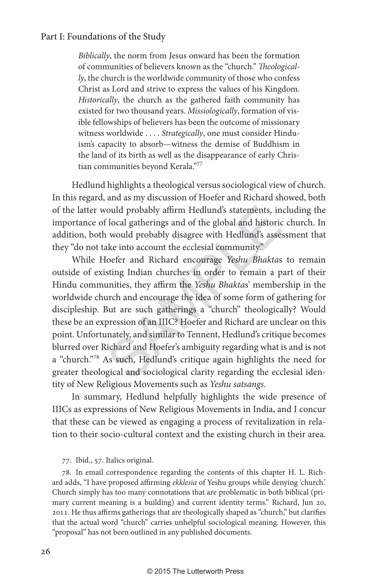#### Part I: Foundations of the Study

Biblically, the norm from Jesus onward has been the formation of communities of believers known as the "church." Theologically, the church is the worldwide community of those who confess Christ as Lord and strive to express the values of his Kingdom. Historically, the church as the gathered faith community has existed for two thousand years. Missiologically, formation of visible fellowships of believers has been the outcome of missionary witness worldwide . . . . Strategically, one must consider Hinduism's capacity to absorb—witness the demise of Buddhism in the land of its birth as well as the disappearance of early Christian communities beyond Kerala."<sup>77</sup>

Hedlund highlights a theological versus sociological view of church. In this regard, and as my discussion of Hoefer and Richard showed, both of the latter would probably affirm Hedlund's statements, including the importance of local gatherings and of the global and historic church. In addition, both would probably disagree with Hedlund's assessment that they "do not take into account the ecclesial community."

ould probably affirm Hedlund's statements, in<br>
local gatherings and of the global and historic<br>
u would probably disagree with Hedlund's asses<br>
ake into account the ecclesial community."<br>
oefer and Richard encourage *Yeshu* While Hoefer and Richard encourage Yeshu Bhaktas to remain outside of existing Indian churches in order to remain a part of their Hindu communities, they affirm the Yeshu Bhaktas' membership in the worldwide church and encourage the idea of some form of gathering for discipleship. But are such gatherings a "church" theologically? Would these be an expression of an IIIC? Hoefer and Richard are unclear on this point. Unfortunately, and similar to Tennent, Hedlund's critique becomes blurred over Richard and Hoefer's ambiguity regarding what is and is not a "church."78 As such, Hedlund's critique again highlights the need for greater theological and sociological clarity regarding the ecclesial identity of New Religious Movements such as Yeshu satsangs.

In summary, Hedlund helpfully highlights the wide presence of IIICs as expressions of New Religious Movements in India, and I concur that these can be viewed as engaging a process of revitalization in relation to their socio-cultural context and the existing church in their area.

77. Ibid., 57. Italics original.

78. In email correspondence regarding the contents of this chapter H. L. Richard adds, "I have proposed affirming ekklesia of Yeshu groups while denying 'church.' Church simply has too many connotations that are problematic in both biblical (primary current meaning is a building) and current identity terms." Richard, Jun 20, 2011. He thus affirms gatherings that are theologically shaped as "church," but clarifies that the actual word "church" carries unhelpful sociological meaning. However, this "proposal" has not been outlined in any published documents.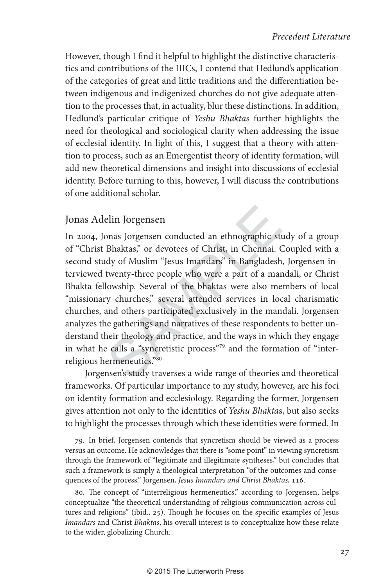However, though I find it helpful to highlight the distinctive characteristics and contributions of the IIICs, I contend that Hedlund's application of the categories of great and little traditions and the differentiation between indigenous and indigenized churches do not give adequate attention to the processes that, in actuality, blur these distinctions. In addition, Hedlund's particular critique of Yeshu Bhaktas further highlights the need for theological and sociological clarity when addressing the issue of ecclesial identity. In light of this, I suggest that a theory with attention to process, such as an Emergentist theory of identity formation, will add new theoretical dimensions and insight into discussions of ecclesial identity. Before turning to this, however, I will discuss the contributions of one additional scholar.

# Jonas Adelin Jorgensen

elin Jorgensen<br>onas Jorgensen conducted an ethnographic stu<br>Bhaktas," or devotees of Christ, in Chennai. C<br>dy of Muslim "Jesus Imandars" in Bangladesh<br>twenty-three people who were a part of a man<br>lowship. Several of the bh In 2004, Jonas Jorgensen conducted an ethnographic study of a group of "Christ Bhaktas," or devotees of Christ, in Chennai. Coupled with a second study of Muslim "Jesus Imandars" in Bangladesh, Jorgensen interviewed twenty-three people who were a part of a mandali, or Christ Bhakta fellowship. Several of the bhaktas were also members of local "missionary churches," several attended services in local charismatic churches, and others participated exclusively in the mandali. Jorgensen analyzes the gatherings and narratives of these respondents to better understand their theology and practice, and the ways in which they engage in what he calls a "syncretistic process"79 and the formation of "interreligious hermeneutics."80

Jorgensen's study traverses a wide range of theories and theoretical frameworks. Of particular importance to my study, however, are his foci on identity formation and ecclesiology. Regarding the former, Jorgensen gives attention not only to the identities of Yeshu Bhaktas, but also seeks to highlight the processes through which these identities were formed. In

79. In brief, Jorgensen contends that syncretism should be viewed as a process versus an outcome. He acknowledges that there is "some point" in viewing syncretism through the framework of "legitimate and illegitimate syntheses," but concludes that such a framework is simply a theological interpretation "of the outcomes and consequences of the process." Jorgensen, Jesus Imandars and Christ Bhaktas, 116.

80. The concept of "interreligious hermeneutics," according to Jorgensen, helps conceptualize "the theoretical understanding of religious communication across cultures and religions" (ibid., 25). Though he focuses on the specific examples of Jesus Imandars and Christ Bhaktas, his overall interest is to conceptualize how these relate to the wider, globalizing Church.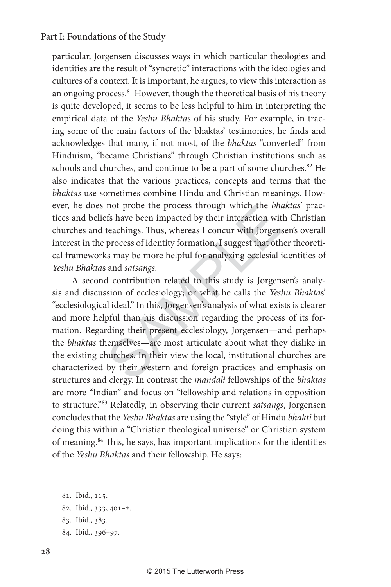particular, Jorgensen discusses ways in which particular theologies and identities are the result of "syncretic" interactions with the ideologies and cultures of a context. It is important, he argues, to view this interaction as an ongoing process.<sup>81</sup> However, though the theoretical basis of his theory is quite developed, it seems to be less helpful to him in interpreting the empirical data of the Yeshu Bhaktas of his study. For example, in tracing some of the main factors of the bhaktas' testimonies, he finds and acknowledges that many, if not most, of the bhaktas "converted" from Hinduism, "became Christians" through Christian institutions such as schools and churches, and continue to be a part of some churches.<sup>82</sup> He also indicates that the various practices, concepts and terms that the bhaktas use sometimes combine Hindu and Christian meanings. However, he does not probe the process through which the bhaktas' practices and beliefs have been impacted by their interaction with Christian churches and teachings. Thus, whereas I concur with Jorgensen's overall interest in the process of identity formation, I suggest that other theoretical frameworks may be more helpful for analyzing ecclesial identities of Yeshu Bhaktas and satsangs .

not probe the process through which the *bhc* fs have been impacted by their interaction wit teachings. Thus, whereas I concur with Jorgens process of identity formation, I suggest that oth is may be more helpful for analy A second contribution related to this study is Jorgensen's analysis and discussion of ecclesiology; or what he calls the Yeshu Bhaktas' "ecclesiological ideal." In this, Jorgensen's analysis of what exists is clearer and more helpful than his discussion regarding the process of its formation. Regarding their present ecclesiology, Jorgensen—and perhaps the bhaktas themselves—are most articulate about what they dislike in the existing churches. In their view the local, institutional churches are characterized by their western and foreign practices and emphasis on structures and clergy. In contrast the mandali fellowships of the bhaktas are more "Indian" and focus on "fellowship and relations in opposition to structure."83 Relatedly, in observing their current satsangs, Jorgensen concludes that the Yeshu Bhaktas are using the "style" of Hindu bhakti but doing this within a "Christian theological universe" or Christian system of meaning.<sup>84</sup> This, he says, has important implications for the identities of the Yeshu Bhaktas and their fellowship. He says:

81. Ibid., 115. 82. Ibid., 333, 401–2. 83. Ibid., 383. 84. Ibid., 396–97.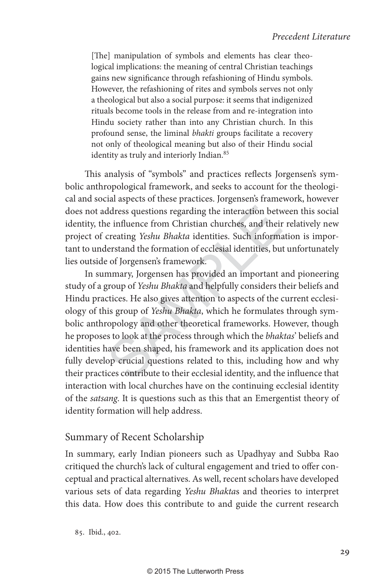[The] manipulation of symbols and elements has clear theological implications: the meaning of central Christian teachings gains new significance through refashioning of Hindu symbols. However, the refashioning of rites and symbols serves not only a theological but also a social purpose: it seems that indigenized rituals become tools in the release from and re-integration into Hindu society rather than into any Christian church. In this profound sense, the liminal bhakti groups facilitate a recovery not only of theological meaning but also of their Hindu social identity as truly and interiorly Indian.<sup>85</sup>

This analysis of "symbols" and practices reflects Jorgensen's symbolic anthropological framework, and seeks to account for the theological and social aspects of these practices. Jorgensen's framework, however does not address questions regarding the interaction between this social identity, the influence from Christian churches, and their relatively new project of creating Yeshu Bhakta identities. Such information is important to understand the formation of ecclesial identities, but unfortunately lies outside of Jorgensen's framework.

ddress questions regarding the interaction betweever influence from Christian churches, and their creating *Yeshu Bhakta* identities. Such informal erstand the formation of ecclesial identities, but the of Jorgensen's fram In summary, Jorgensen has provided an important and pioneering study of a group of Yeshu Bhakta and helpfully considers their beliefs and Hindu practices. He also gives attention to aspects of the current ecclesiology of this group of Yeshu Bhakta, which he formulates through symbolic anthropology and other theoretical frameworks. However, though he proposes to look at the process through which the bhaktas' beliefs and identities have been shaped, his framework and its application does not fully develop crucial questions related to this, including how and why their practices contribute to their ecclesial identity, and the influence that interaction with local churches have on the continuing ecclesial identity of the satsang. It is questions such as this that an Emergentist theory of identity formation will help address.

### Summary of Recent Scholarship

In summary, early Indian pioneers such as Upadhyay and Subba Rao critiqued the church's lack of cultural engagement and tried to offer conceptual and practical alternatives. As well, recent scholars have developed various sets of data regarding Yeshu Bhaktas and theories to interpret this data. How does this contribute to and guide the current research

85. Ibid., 402.